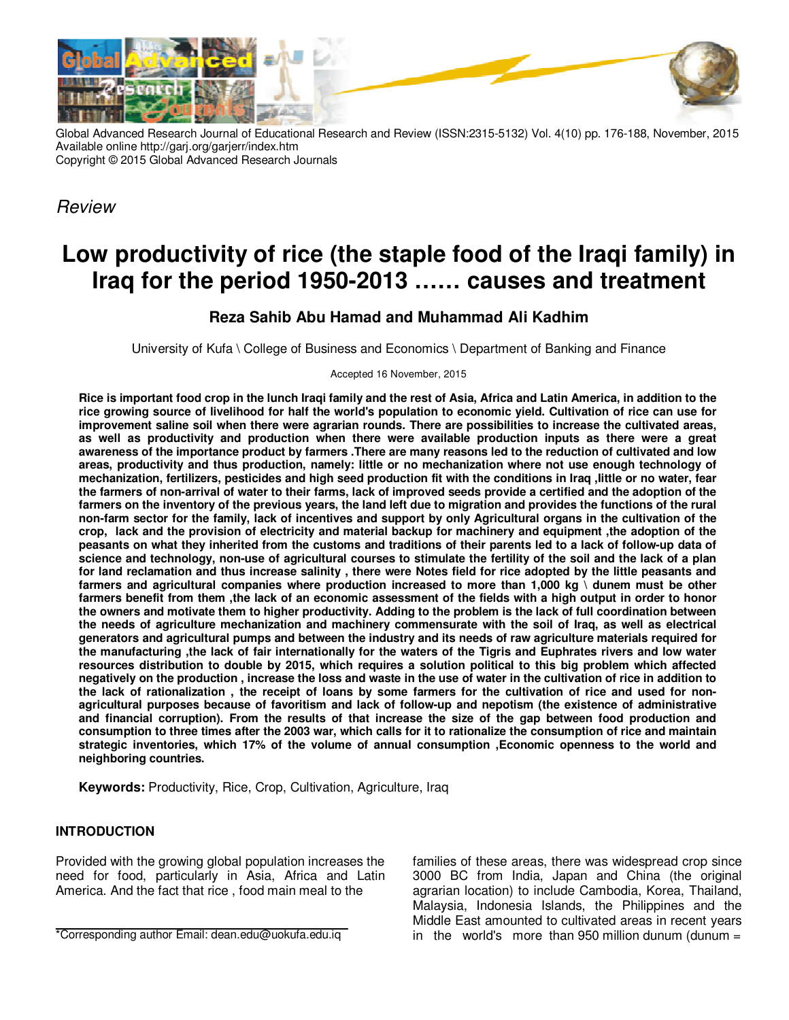

Global Advanced Research Journal of Educational Research and Review (ISSN:2315-5132) Vol. 4(10) pp. 176-188, November, 2015 Available online http://garj.org/garjerr/index.htm Copyright © 2015 Global Advanced Research Journals

Review

# **Low productivity of rice (the staple food of the Iraqi family) in Iraq for the period 1950-2013 …… causes and treatment**

## **Reza Sahib Abu Hamad and Muhammad Ali Kadhim**

University of Kufa \ College of Business and Economics \ Department of Banking and Finance

Accepted 16 November, 2015

**Rice is important food crop in the lunch Iraqi family and the rest of Asia, Africa and Latin America, in addition to the rice growing source of livelihood for half the world's population to economic yield. Cultivation of rice can use for improvement saline soil when there were agrarian rounds. There are possibilities to increase the cultivated areas, as well as productivity and production when there were available production inputs as there were a great awareness of the importance product by farmers .There are many reasons led to the reduction of cultivated and low areas, productivity and thus production, namely: little or no mechanization where not use enough technology of mechanization, fertilizers, pesticides and high seed production fit with the conditions in Iraq ,Iittle or no water, fear the farmers of non-arrival of water to their farms, lack of improved seeds provide a certified and the adoption of the farmers on the inventory of the previous years, the land left due to migration and provides the functions of the rural non-farm sector for the family, lack of incentives and support by only Agricultural organs in the cultivation of the crop, lack and the provision of electricity and material backup for machinery and equipment ,the adoption of the peasants on what they inherited from the customs and traditions of their parents led to a lack of follow-up data of science and technology, non-use of agricultural courses to stimulate the fertility of the soil and the lack of a plan for land reclamation and thus increase salinity , there were Notes field for rice adopted by the little peasants and farmers and agricultural companies where production increased to more than 1,000 kg \ dunem must be other farmers benefit from them ,the lack of an economic assessment of the fields with a high output in order to honor the owners and motivate them to higher productivity. Adding to the problem is the lack of full coordination between the needs of agriculture mechanization and machinery commensurate with the soil of Iraq, as well as electrical generators and agricultural pumps and between the industry and its needs of raw agriculture materials required for the manufacturing ,the lack of fair internationally for the waters of the Tigris and Euphrates rivers and low water resources distribution to double by 2015, which requires a solution political to this big problem which affected negatively on the production , increase the loss and waste in the use of water in the cultivation of rice in addition to the lack of rationalization , the receipt of loans by some farmers for the cultivation of rice and used for nonagricultural purposes because of favoritism and lack of follow-up and nepotism (the existence of administrative and financial corruption). From the results of that increase the size of the gap between food production and consumption to three times after the 2003 war, which calls for it to rationalize the consumption of rice and maintain strategic inventories, which 17% of the volume of annual consumption ,Economic openness to the world and neighboring countries.** 

**Keywords:** Productivity, Rice, Crop, Cultivation, Agriculture, Iraq

## **INTRODUCTION**

Provided with the growing global population increases the need for food, particularly in Asia, Africa and Latin America. And the fact that rice , food main meal to the

families of these areas, there was widespread crop since 3000 BC from India, Japan and China (the original agrarian location) to include Cambodia, Korea, Thailand, Malaysia, Indonesia Islands, the Philippines and the Middle East amounted to cultivated areas in recent years in the world's more than 950 million dunum (dunum  $=$ 

<sup>\*</sup>Corresponding author Email: dean.edu@uokufa.edu.iq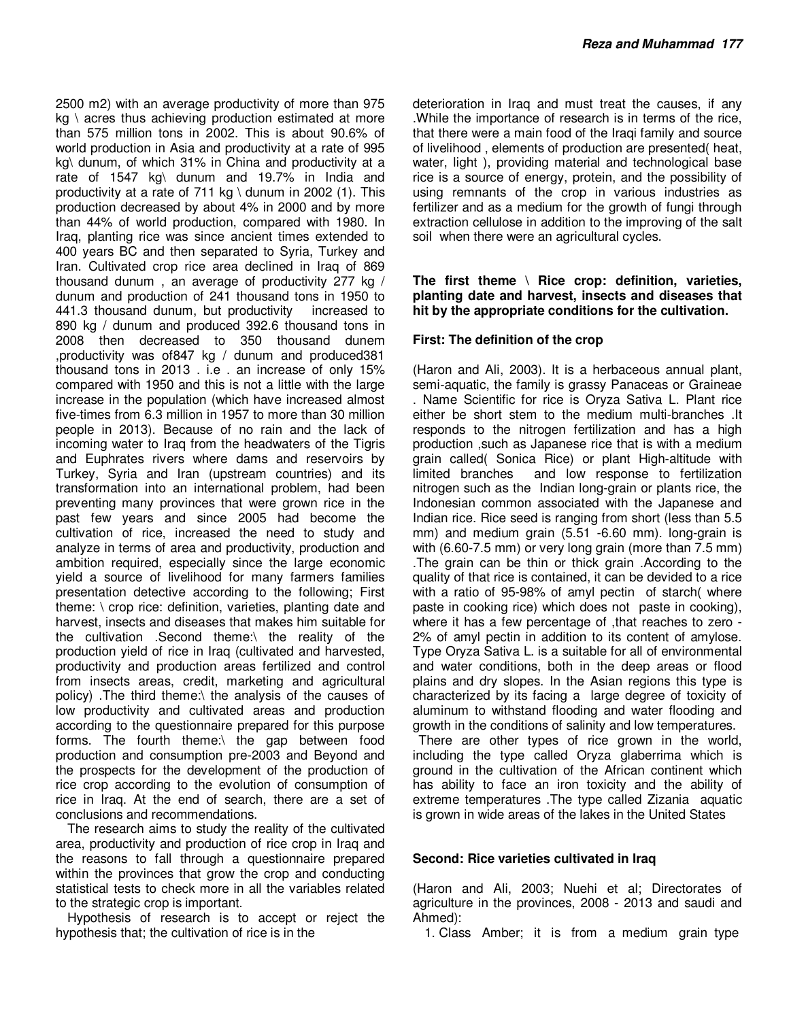2500 m2) with an average productivity of more than 975  $kq \nvert$  acres thus achieving production estimated at more than 575 million tons in 2002. This is about 90.6% of world production in Asia and productivity at a rate of 995 kg\ dunum, of which 31% in China and productivity at a rate of 1547 kg\ dunum and 19.7% in India and productivity at a rate of 711 kg \ dunum in 2002 (1). This production decreased by about 4% in 2000 and by more than 44% of world production, compared with 1980. In Iraq, planting rice was since ancient times extended to 400 years BC and then separated to Syria, Turkey and Iran. Cultivated crop rice area declined in Iraq of 869 thousand dunum , an average of productivity 277 kg / dunum and production of 241 thousand tons in 1950 to 441.3 thousand dunum, but productivity increased to 890 kg / dunum and produced 392.6 thousand tons in 2008 then decreased to 350 thousand dunem ,productivity was of847 kg / dunum and produced381 thousand tons in 2013 . i.e . an increase of only 15% compared with 1950 and this is not a little with the large increase in the population (which have increased almost five-times from 6.3 million in 1957 to more than 30 million people in 2013). Because of no rain and the lack of incoming water to Iraq from the headwaters of the Tigris and Euphrates rivers where dams and reservoirs by Turkey, Syria and Iran (upstream countries) and its transformation into an international problem, had been preventing many provinces that were grown rice in the past few years and since 2005 had become the cultivation of rice, increased the need to study and analyze in terms of area and productivity, production and ambition required, especially since the large economic yield a source of livelihood for many farmers families presentation detective according to the following; First theme: \ crop rice: definition, varieties, planting date and harvest, insects and diseases that makes him suitable for the cultivation .Second theme:\ the reality of the production yield of rice in Iraq (cultivated and harvested, productivity and production areas fertilized and control from insects areas, credit, marketing and agricultural policy) .The third theme:\ the analysis of the causes of low productivity and cultivated areas and production according to the questionnaire prepared for this purpose forms. The fourth theme:\ the gap between food production and consumption pre-2003 and Beyond and the prospects for the development of the production of rice crop according to the evolution of consumption of rice in Iraq. At the end of search, there are a set of conclusions and recommendations.

The research aims to study the reality of the cultivated area, productivity and production of rice crop in Iraq and the reasons to fall through a questionnaire prepared within the provinces that grow the crop and conducting statistical tests to check more in all the variables related to the strategic crop is important.

Hypothesis of research is to accept or reject the hypothesis that; the cultivation of rice is in the

deterioration in Iraq and must treat the causes, if any .While the importance of research is in terms of the rice, that there were a main food of the Iraqi family and source of livelihood , elements of production are presented( heat, water, light ), providing material and technological base rice is a source of energy, protein, and the possibility of using remnants of the crop in various industries as fertilizer and as a medium for the growth of fungi through extraction cellulose in addition to the improving of the salt soil when there were an agricultural cycles.

### **The first theme \ Rice crop: definition, varieties, planting date and harvest, insects and diseases that hit by the appropriate conditions for the cultivation.**

## **First: The definition of the crop**

(Haron and Ali, 2003). It is a herbaceous annual plant, semi-aquatic, the family is grassy Panaceas or Graineae . Name Scientific for rice is Oryza Sativa L. Plant rice either be short stem to the medium multi-branches .It responds to the nitrogen fertilization and has a high production ,such as Japanese rice that is with a medium grain called( Sonica Rice) or plant High-altitude with limited branches and low response to fertilization nitrogen such as the Indian long-grain or plants rice, the Indonesian common associated with the Japanese and Indian rice. Rice seed is ranging from short (less than 5.5 mm) and medium grain (5.51 -6.60 mm). long-grain is with (6.60-7.5 mm) or very long grain (more than 7.5 mm) .The grain can be thin or thick grain .According to the quality of that rice is contained, it can be devided to a rice with a ratio of 95-98% of amyl pectin of starch( where paste in cooking rice) which does not paste in cooking), where it has a few percentage of , that reaches to zero -2% of amyl pectin in addition to its content of amylose. Type Oryza Sativa L. is a suitable for all of environmental and water conditions, both in the deep areas or flood plains and dry slopes. In the Asian regions this type is characterized by its facing a large degree of toxicity of aluminum to withstand flooding and water flooding and growth in the conditions of salinity and low temperatures.

There are other types of rice grown in the world, including the type called Oryza glaberrima which is ground in the cultivation of the African continent which has ability to face an iron toxicity and the ability of extreme temperatures .The type called Zizania aquatic is grown in wide areas of the lakes in the United States

## **Second: Rice varieties cultivated in Iraq**

(Haron and Ali, 2003; Nuehi et al; Directorates of agriculture in the provinces, 2008 - 2013 and saudi and Ahmed):

1. Class Amber; it is from a medium grain type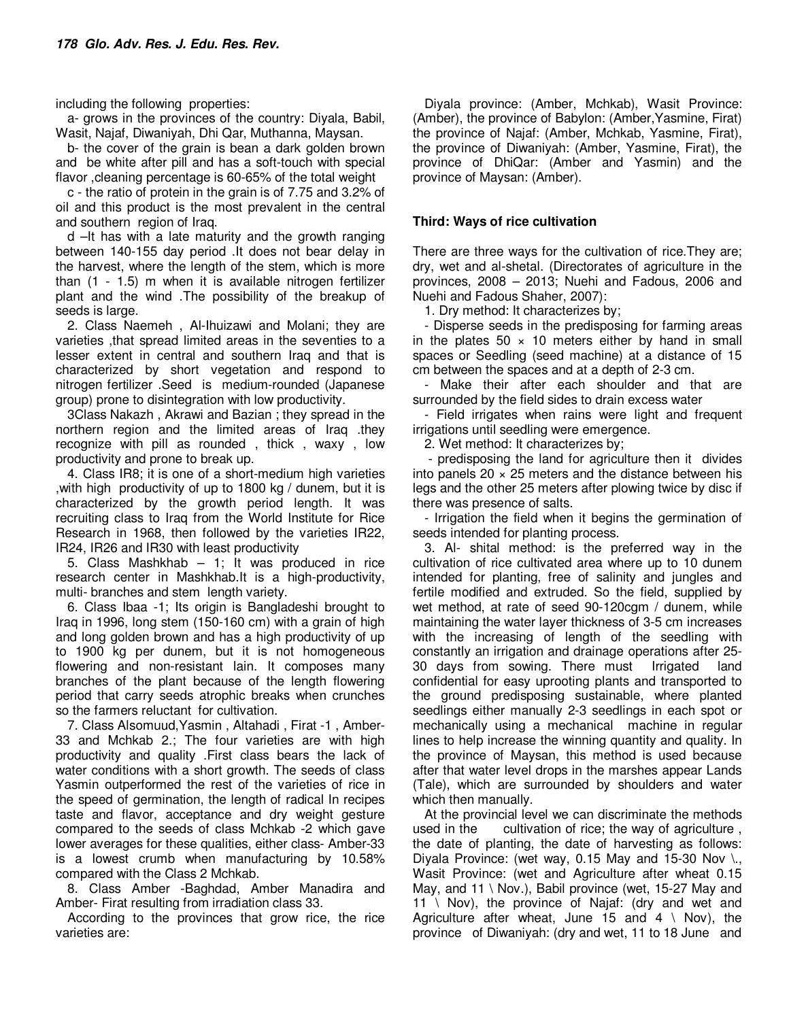including the following properties:

a- grows in the provinces of the country: Diyala, Babil, Wasit, Najaf, Diwaniyah, Dhi Qar, Muthanna, Maysan.

b- the cover of the grain is bean a dark golden brown and be white after pill and has a soft-touch with special flavor ,cleaning percentage is 60-65% of the total weight

c - the ratio of protein in the grain is of 7.75 and 3.2% of oil and this product is the most prevalent in the central and southern region of Iraq.

d –It has with a late maturity and the growth ranging between 140-155 day period .It does not bear delay in the harvest, where the length of the stem, which is more than (1 - 1.5) m when it is available nitrogen fertilizer plant and the wind .The possibility of the breakup of seeds is large.

2. Class Naemeh , Al-Ihuizawi and Molani; they are varieties ,that spread limited areas in the seventies to a lesser extent in central and southern Iraq and that is characterized by short vegetation and respond to nitrogen fertilizer .Seed is medium-rounded (Japanese group) prone to disintegration with low productivity.

3Class Nakazh , Akrawi and Bazian ; they spread in the northern region and the limited areas of Iraq .they recognize with pill as rounded , thick , waxy , low productivity and prone to break up.

4. Class IR8; it is one of a short-medium high varieties ,with high productivity of up to 1800 kg / dunem, but it is characterized by the growth period length. It was recruiting class to Iraq from the World Institute for Rice Research in 1968, then followed by the varieties IR22, IR24, IR26 and IR30 with least productivity

5. Class Mashkhab – 1; It was produced in rice research center in Mashkhab.It is a high-productivity, multi- branches and stem length variety.

6. Class Ibaa -1; Its origin is Bangladeshi brought to Iraq in 1996, long stem (150-160 cm) with a grain of high and long golden brown and has a high productivity of up to 1900 kg per dunem, but it is not homogeneous flowering and non-resistant lain. It composes many branches of the plant because of the length flowering period that carry seeds atrophic breaks when crunches so the farmers reluctant for cultivation.

7. Class Alsomuud,Yasmin , Altahadi , Firat -1 , Amber-33 and Mchkab 2.; The four varieties are with high productivity and quality .First class bears the lack of water conditions with a short growth. The seeds of class Yasmin outperformed the rest of the varieties of rice in the speed of germination, the length of radical In recipes taste and flavor, acceptance and dry weight gesture compared to the seeds of class Mchkab -2 which gave lower averages for these qualities, either class- Amber-33 is a lowest crumb when manufacturing by 10.58% compared with the Class 2 Mchkab.

8. Class Amber -Baghdad, Amber Manadira and Amber- Firat resulting from irradiation class 33.

According to the provinces that grow rice, the rice varieties are:

Diyala province: (Amber, Mchkab), Wasit Province: (Amber), the province of Babylon: (Amber,Yasmine, Firat) the province of Najaf: (Amber, Mchkab, Yasmine, Firat), the province of Diwaniyah: (Amber, Yasmine, Firat), the province of DhiQar: (Amber and Yasmin) and the province of Maysan: (Amber).

## **Third: Ways of rice cultivation**

There are three ways for the cultivation of rice.They are; dry, wet and al-shetal. (Directorates of agriculture in the provinces, 2008 – 2013; Nuehi and Fadous, 2006 and Nuehi and Fadous Shaher, 2007):

1. Dry method: It characterizes by;

- Disperse seeds in the predisposing for farming areas in the plates  $50 \times 10$  meters either by hand in small spaces or Seedling (seed machine) at a distance of 15 cm between the spaces and at a depth of 2-3 cm.

- Make their after each shoulder and that are surrounded by the field sides to drain excess water

- Field irrigates when rains were light and frequent irrigations until seedling were emergence.

2. Wet method: It characterizes by;

 - predisposing the land for agriculture then it divides into panels  $20 \times 25$  meters and the distance between his legs and the other 25 meters after plowing twice by disc if there was presence of salts.

- Irrigation the field when it begins the germination of seeds intended for planting process.

3. Al- shital method: is the preferred way in the cultivation of rice cultivated area where up to 10 dunem intended for planting, free of salinity and jungles and fertile modified and extruded. So the field, supplied by wet method, at rate of seed 90-120cgm / dunem, while maintaining the water layer thickness of 3-5 cm increases with the increasing of length of the seedling with constantly an irrigation and drainage operations after 25- 30 days from sowing. There must Irrigated land confidential for easy uprooting plants and transported to the ground predisposing sustainable, where planted seedlings either manually 2-3 seedlings in each spot or mechanically using a mechanical machine in regular lines to help increase the winning quantity and quality. In the province of Maysan, this method is used because after that water level drops in the marshes appear Lands (Tale), which are surrounded by shoulders and water which then manually.

At the provincial level we can discriminate the methods used in the cultivation of rice; the way of agriculture , the date of planting, the date of harvesting as follows: Diyala Province: (wet way, 0.15 May and 15-30 Nov  $\lambda$ , Wasit Province: (wet and Agriculture after wheat 0.15 May, and  $11 \setminus$  Nov.), Babil province (wet, 15-27 May and 11 \ Nov), the province of Najaf: (dry and wet and Agriculture after wheat, June 15 and  $4 \setminus$  Nov), the province of Diwaniyah: (dry and wet, 11 to 18 June and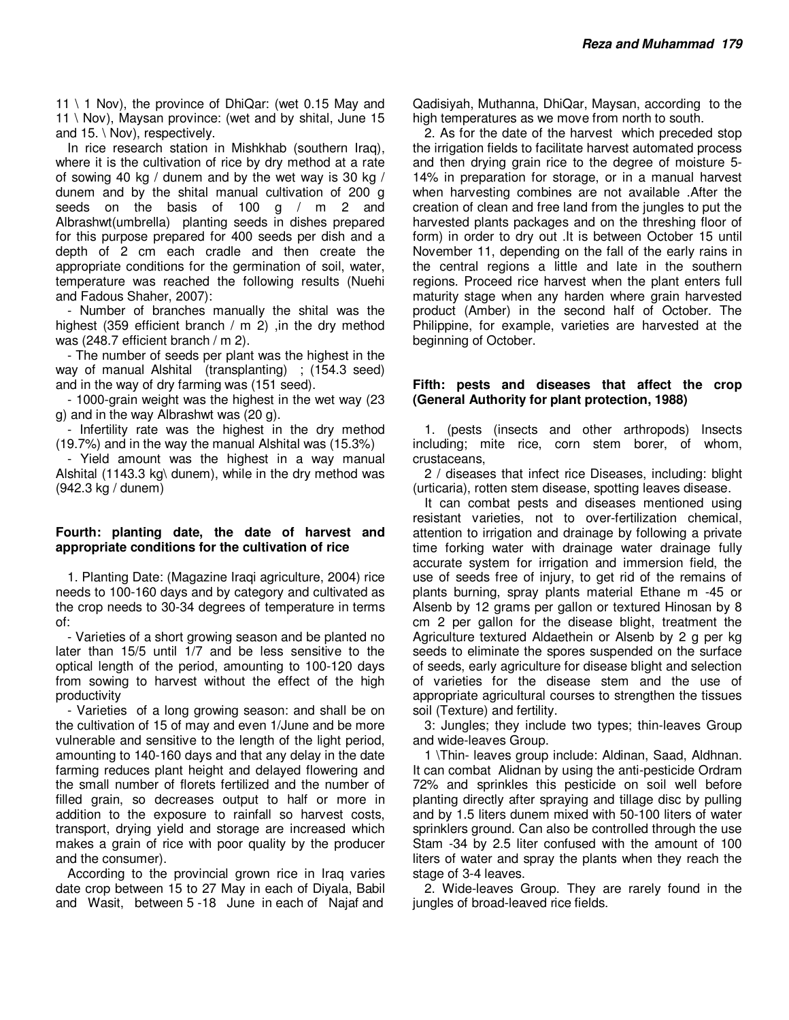11 \ 1 Nov), the province of DhiQar: (wet 0.15 May and 11 \ Nov), Maysan province: (wet and by shital, June 15 and 15. \ Nov), respectively.

In rice research station in Mishkhab (southern Iraq), where it is the cultivation of rice by dry method at a rate of sowing 40 kg / dunem and by the wet way is 30 kg / dunem and by the shital manual cultivation of 200 g seeds on the basis of 100 g / m 2 and Albrashwt(umbrella) planting seeds in dishes prepared for this purpose prepared for 400 seeds per dish and a depth of 2 cm each cradle and then create the appropriate conditions for the germination of soil, water, temperature was reached the following results (Nuehi and Fadous Shaher, 2007):

- Number of branches manually the shital was the highest (359 efficient branch  $/m$  2) , in the dry method was (248.7 efficient branch / m 2).

- The number of seeds per plant was the highest in the way of manual Alshital (transplanting) ; (154.3 seed) and in the way of dry farming was (151 seed).

- 1000-grain weight was the highest in the wet way (23 g) and in the way Albrashwt was (20 g).

- Infertility rate was the highest in the dry method (19.7%) and in the way the manual Alshital was (15.3%)

- Yield amount was the highest in a way manual Alshital (1143.3 kg\ dunem), while in the dry method was (942.3 kg / dunem)

#### **Fourth: planting date, the date of harvest and appropriate conditions for the cultivation of rice**

1. Planting Date: (Magazine Iraqi agriculture, 2004) rice needs to 100-160 days and by category and cultivated as the crop needs to 30-34 degrees of temperature in terms of:

- Varieties of a short growing season and be planted no later than 15/5 until 1/7 and be less sensitive to the optical length of the period, amounting to 100-120 days from sowing to harvest without the effect of the high productivity

- Varieties of a long growing season: and shall be on the cultivation of 15 of may and even 1/June and be more vulnerable and sensitive to the length of the light period, amounting to 140-160 days and that any delay in the date farming reduces plant height and delayed flowering and the small number of florets fertilized and the number of filled grain, so decreases output to half or more in addition to the exposure to rainfall so harvest costs, transport, drying yield and storage are increased which makes a grain of rice with poor quality by the producer and the consumer).

According to the provincial grown rice in Iraq varies date crop between 15 to 27 May in each of Diyala, Babil and Wasit, between 5 -18 June in each of Najaf and

Qadisiyah, Muthanna, DhiQar, Maysan, according to the high temperatures as we move from north to south.

2. As for the date of the harvest which preceded stop the irrigation fields to facilitate harvest automated process and then drying grain rice to the degree of moisture 5- 14% in preparation for storage, or in a manual harvest when harvesting combines are not available .After the creation of clean and free land from the jungles to put the harvested plants packages and on the threshing floor of form) in order to dry out .It is between October 15 until November 11, depending on the fall of the early rains in the central regions a little and late in the southern regions. Proceed rice harvest when the plant enters full maturity stage when any harden where grain harvested product (Amber) in the second half of October. The Philippine, for example, varieties are harvested at the beginning of October.

#### **Fifth: pests and diseases that affect the crop (General Authority for plant protection, 1988)**

1. (pests (insects and other arthropods) Insects including; mite rice, corn stem borer, of whom, crustaceans,

2 / diseases that infect rice Diseases, including: blight (urticaria), rotten stem disease, spotting leaves disease.

It can combat pests and diseases mentioned using resistant varieties, not to over-fertilization chemical, attention to irrigation and drainage by following a private time forking water with drainage water drainage fully accurate system for irrigation and immersion field, the use of seeds free of injury, to get rid of the remains of plants burning, spray plants material Ethane m -45 or Alsenb by 12 grams per gallon or textured Hinosan by 8 cm 2 per gallon for the disease blight, treatment the Agriculture textured Aldaethein or Alsenb by 2 g per kg seeds to eliminate the spores suspended on the surface of seeds, early agriculture for disease blight and selection of varieties for the disease stem and the use of appropriate agricultural courses to strengthen the tissues soil (Texture) and fertility.

3: Jungles; they include two types; thin-leaves Group and wide-leaves Group.

1 \Thin- leaves group include: Aldinan, Saad, Aldhnan. It can combat Alidnan by using the anti-pesticide Ordram 72% and sprinkles this pesticide on soil well before planting directly after spraying and tillage disc by pulling and by 1.5 liters dunem mixed with 50-100 liters of water sprinklers ground. Can also be controlled through the use Stam -34 by 2.5 liter confused with the amount of 100 liters of water and spray the plants when they reach the stage of 3-4 leaves.

2. Wide-leaves Group. They are rarely found in the jungles of broad-leaved rice fields.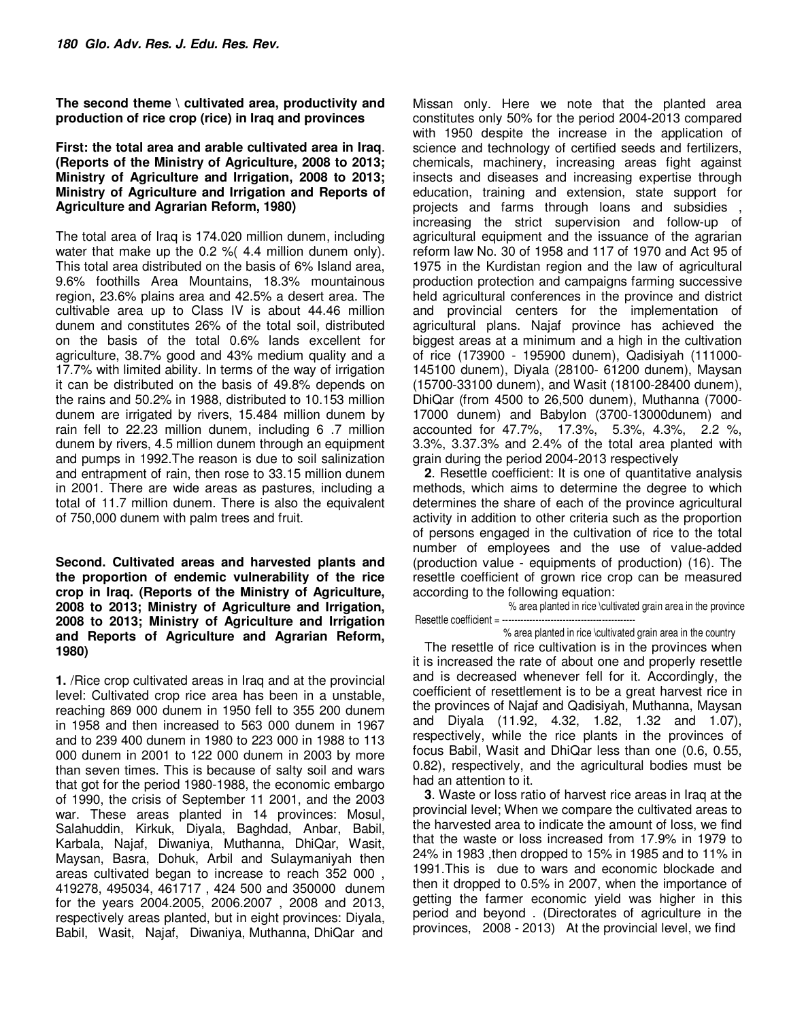**The second theme \ cultivated area, productivity and production of rice crop (rice) in Iraq and provinces** 

### **First: the total area and arable cultivated area in Iraq**. **(Reports of the Ministry of Agriculture, 2008 to 2013; Ministry of Agriculture and Irrigation, 2008 to 2013; Ministry of Agriculture and Irrigation and Reports of Agriculture and Agrarian Reform, 1980)**

The total area of Iraq is 174.020 million dunem, including water that make up the 0.2 %( 4.4 million dunem only). This total area distributed on the basis of 6% Island area, 9.6% foothills Area Mountains, 18.3% mountainous region, 23.6% plains area and 42.5% a desert area. The cultivable area up to Class IV is about 44.46 million dunem and constitutes 26% of the total soil, distributed on the basis of the total 0.6% lands excellent for agriculture, 38.7% good and 43% medium quality and a 17.7% with limited ability. In terms of the way of irrigation it can be distributed on the basis of 49.8% depends on the rains and 50.2% in 1988, distributed to 10.153 million dunem are irrigated by rivers, 15.484 million dunem by rain fell to 22.23 million dunem, including 6 .7 million dunem by rivers, 4.5 million dunem through an equipment and pumps in 1992.The reason is due to soil salinization and entrapment of rain, then rose to 33.15 million dunem in 2001. There are wide areas as pastures, including a total of 11.7 million dunem. There is also the equivalent of 750,000 dunem with palm trees and fruit.

**Second. Cultivated areas and harvested plants and the proportion of endemic vulnerability of the rice crop in Iraq. (Reports of the Ministry of Agriculture, 2008 to 2013; Ministry of Agriculture and Irrigation, 2008 to 2013; Ministry of Agriculture and Irrigation and Reports of Agriculture and Agrarian Reform, 1980)** 

**1.** /Rice crop cultivated areas in Iraq and at the provincial level: Cultivated crop rice area has been in a unstable, reaching 869 000 dunem in 1950 fell to 355 200 dunem in 1958 and then increased to 563 000 dunem in 1967 and to 239 400 dunem in 1980 to 223 000 in 1988 to 113 000 dunem in 2001 to 122 000 dunem in 2003 by more than seven times. This is because of salty soil and wars that got for the period 1980-1988, the economic embargo of 1990, the crisis of September 11 2001, and the 2003 war. These areas planted in 14 provinces: Mosul, Salahuddin, Kirkuk, Diyala, Baghdad, Anbar, Babil, Karbala, Najaf, Diwaniya, Muthanna, DhiQar, Wasit, Maysan, Basra, Dohuk, Arbil and Sulaymaniyah then areas cultivated began to increase to reach 352 000 , 419278, 495034, 461717 , 424 500 and 350000 dunem for the years 2004.2005, 2006.2007 , 2008 and 2013, respectively areas planted, but in eight provinces: Diyala, Babil, Wasit, Najaf, Diwaniya, Muthanna, DhiQar and

Missan only. Here we note that the planted area constitutes only 50% for the period 2004-2013 compared with 1950 despite the increase in the application of science and technology of certified seeds and fertilizers, chemicals, machinery, increasing areas fight against insects and diseases and increasing expertise through education, training and extension, state support for projects and farms through loans and subsidies increasing the strict supervision and follow-up of agricultural equipment and the issuance of the agrarian reform law No. 30 of 1958 and 117 of 1970 and Act 95 of 1975 in the Kurdistan region and the law of agricultural production protection and campaigns farming successive held agricultural conferences in the province and district and provincial centers for the implementation of agricultural plans. Najaf province has achieved the biggest areas at a minimum and a high in the cultivation of rice (173900 - 195900 dunem), Qadisiyah (111000- 145100 dunem), Diyala (28100- 61200 dunem), Maysan (15700-33100 dunem), and Wasit (18100-28400 dunem), DhiQar (from 4500 to 26,500 dunem), Muthanna (7000- 17000 dunem) and Babylon (3700-13000dunem) and accounted for 47.7%, 17.3%, 5.3%, 4.3%, 2.2 %, 3.3%, 3.37.3% and 2.4% of the total area planted with grain during the period 2004-2013 respectively

**2**. Resettle coefficient: It is one of quantitative analysis methods, which aims to determine the degree to which determines the share of each of the province agricultural activity in addition to other criteria such as the proportion of persons engaged in the cultivation of rice to the total number of employees and the use of value-added (production value - equipments of production) (16). The resettle coefficient of grown rice crop can be measured according to the following equation:

 % area planted in rice \cultivated grain area in the province Resettle coefficient = -----

## % area planted in rice \cultivated grain area in the country

The resettle of rice cultivation is in the provinces when it is increased the rate of about one and properly resettle and is decreased whenever fell for it. Accordingly, the coefficient of resettlement is to be a great harvest rice in the provinces of Najaf and Qadisiyah, Muthanna, Maysan and Diyala (11.92, 4.32, 1.82, 1.32 and 1.07), respectively, while the rice plants in the provinces of focus Babil, Wasit and DhiQar less than one (0.6, 0.55, 0.82), respectively, and the agricultural bodies must be had an attention to it.

**3**. Waste or loss ratio of harvest rice areas in Iraq at the provincial level; When we compare the cultivated areas to the harvested area to indicate the amount of loss, we find that the waste or loss increased from 17.9% in 1979 to 24% in 1983 ,then dropped to 15% in 1985 and to 11% in 1991.This is due to wars and economic blockade and then it dropped to 0.5% in 2007, when the importance of getting the farmer economic yield was higher in this period and beyond . (Directorates of agriculture in the provinces, 2008 - 2013) At the provincial level, we find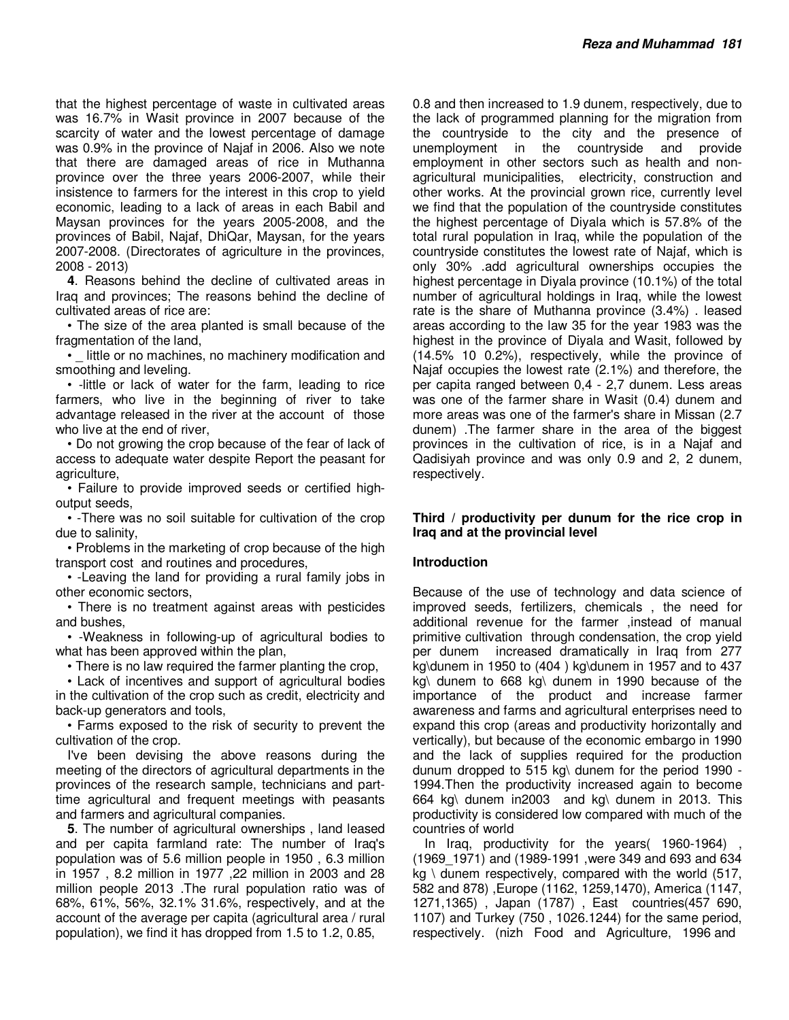that the highest percentage of waste in cultivated areas was 16.7% in Wasit province in 2007 because of the scarcity of water and the lowest percentage of damage was 0.9% in the province of Najaf in 2006. Also we note that there are damaged areas of rice in Muthanna province over the three years 2006-2007, while their insistence to farmers for the interest in this crop to yield economic, leading to a lack of areas in each Babil and Maysan provinces for the years 2005-2008, and the provinces of Babil, Najaf, DhiQar, Maysan, for the years 2007-2008. (Directorates of agriculture in the provinces, 2008 - 2013)

**4**. Reasons behind the decline of cultivated areas in Iraq and provinces; The reasons behind the decline of cultivated areas of rice are:

• The size of the area planted is small because of the fragmentation of the land,

• little or no machines, no machinery modification and smoothing and leveling.

• -little or lack of water for the farm, leading to rice farmers, who live in the beginning of river to take advantage released in the river at the account of those who live at the end of river,

• Do not growing the crop because of the fear of lack of access to adequate water despite Report the peasant for agriculture,

• Failure to provide improved seeds or certified highoutput seeds,

• -There was no soil suitable for cultivation of the crop due to salinity,

• Problems in the marketing of crop because of the high transport cost and routines and procedures,

• -Leaving the land for providing a rural family jobs in other economic sectors,

• There is no treatment against areas with pesticides and bushes,

• -Weakness in following-up of agricultural bodies to what has been approved within the plan,

• There is no law required the farmer planting the crop,

• Lack of incentives and support of agricultural bodies in the cultivation of the crop such as credit, electricity and back-up generators and tools,

• Farms exposed to the risk of security to prevent the cultivation of the crop.

I've been devising the above reasons during the meeting of the directors of agricultural departments in the provinces of the research sample, technicians and parttime agricultural and frequent meetings with peasants and farmers and agricultural companies.

**5**. The number of agricultural ownerships , land leased and per capita farmland rate: The number of Iraq's population was of 5.6 million people in 1950 , 6.3 million in 1957 , 8.2 million in 1977 ,22 million in 2003 and 28 million people 2013 .The rural population ratio was of 68%, 61%, 56%, 32.1% 31.6%, respectively, and at the account of the average per capita (agricultural area / rural population), we find it has dropped from 1.5 to 1.2, 0.85,

0.8 and then increased to 1.9 dunem, respectively, due to the lack of programmed planning for the migration from the countryside to the city and the presence of unemployment in the countryside and provide employment in other sectors such as health and nonagricultural municipalities, electricity, construction and other works. At the provincial grown rice, currently level we find that the population of the countryside constitutes the highest percentage of Diyala which is 57.8% of the total rural population in Iraq, while the population of the countryside constitutes the lowest rate of Najaf, which is only 30% .add agricultural ownerships occupies the highest percentage in Diyala province (10.1%) of the total number of agricultural holdings in Iraq, while the lowest rate is the share of Muthanna province (3.4%) . leased areas according to the law 35 for the year 1983 was the highest in the province of Diyala and Wasit, followed by (14.5% 10 0.2%), respectively, while the province of Najaf occupies the lowest rate (2.1%) and therefore, the per capita ranged between 0,4 - 2,7 dunem. Less areas was one of the farmer share in Wasit (0.4) dunem and more areas was one of the farmer's share in Missan (2.7 dunem) .The farmer share in the area of the biggest provinces in the cultivation of rice, is in a Najaf and Qadisiyah province and was only 0.9 and 2, 2 dunem, respectively.

## **Third / productivity per dunum for the rice crop in Iraq and at the provincial level**

## **Introduction**

Because of the use of technology and data science of improved seeds, fertilizers, chemicals , the need for additional revenue for the farmer ,instead of manual primitive cultivation through condensation, the crop yield per dunem increased dramatically in Iraq from 277 kg\dunem in 1950 to (404 ) kg\dunem in 1957 and to 437 kg\ dunem to 668 kg\ dunem in 1990 because of the importance of the product and increase farmer awareness and farms and agricultural enterprises need to expand this crop (areas and productivity horizontally and vertically), but because of the economic embargo in 1990 and the lack of supplies required for the production dunum dropped to 515 kg\ dunem for the period 1990 - 1994.Then the productivity increased again to become 664 kg\ dunem in2003 and kg\ dunem in 2013. This productivity is considered low compared with much of the countries of world

In Iraq, productivity for the years( $1960-1964$ ) (1969\_1971) and (1989-1991 ,were 349 and 693 and 634  $ka \setminus$  dunem respectively, compared with the world (517, 582 and 878) ,Europe (1162, 1259,1470), America (1147, 1271,1365) , Japan (1787) , East countries(457 690, 1107) and Turkey (750 , 1026.1244) for the same period, respectively. (nizh Food and Agriculture, 1996 and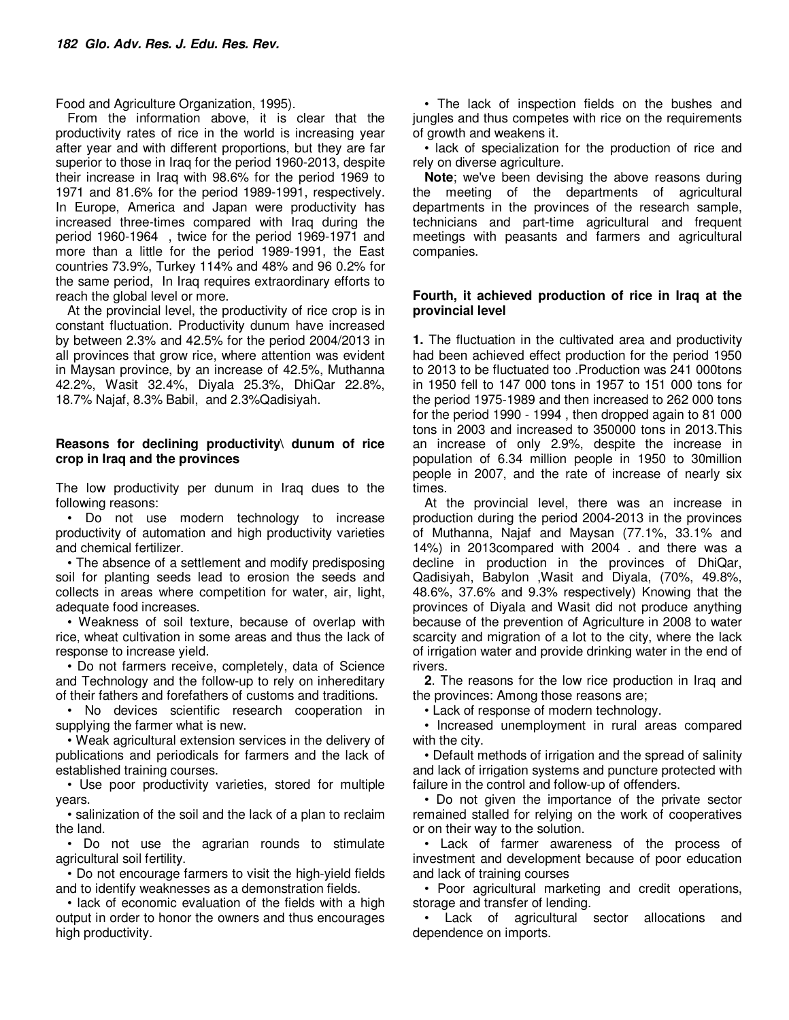Food and Agriculture Organization, 1995).

From the information above, it is clear that the productivity rates of rice in the world is increasing year after year and with different proportions, but they are far superior to those in Iraq for the period 1960-2013, despite their increase in Iraq with 98.6% for the period 1969 to 1971 and 81.6% for the period 1989-1991, respectively. In Europe, America and Japan were productivity has increased three-times compared with Iraq during the period 1960-1964 , twice for the period 1969-1971 and more than a little for the period 1989-1991, the East countries 73.9%, Turkey 114% and 48% and 96 0.2% for the same period, In Iraq requires extraordinary efforts to reach the global level or more.

At the provincial level, the productivity of rice crop is in constant fluctuation. Productivity dunum have increased by between 2.3% and 42.5% for the period 2004/2013 in all provinces that grow rice, where attention was evident in Maysan province, by an increase of 42.5%, Muthanna 42.2%, Wasit 32.4%, Diyala 25.3%, DhiQar 22.8%, 18.7% Najaf, 8.3% Babil, and 2.3%Qadisiyah.

## **Reasons for declining productivity\ dunum of rice crop in Iraq and the provinces**

The low productivity per dunum in Iraq dues to the following reasons:

• Do not use modern technology to increase productivity of automation and high productivity varieties and chemical fertilizer.

• The absence of a settlement and modify predisposing soil for planting seeds lead to erosion the seeds and collects in areas where competition for water, air, light, adequate food increases.

• Weakness of soil texture, because of overlap with rice, wheat cultivation in some areas and thus the lack of response to increase yield.

• Do not farmers receive, completely, data of Science and Technology and the follow-up to rely on inhereditary of their fathers and forefathers of customs and traditions.

• No devices scientific research cooperation in supplying the farmer what is new.

• Weak agricultural extension services in the delivery of publications and periodicals for farmers and the lack of established training courses.

• Use poor productivity varieties, stored for multiple years.

• salinization of the soil and the lack of a plan to reclaim the land.

• Do not use the agrarian rounds to stimulate agricultural soil fertility.

• Do not encourage farmers to visit the high-yield fields and to identify weaknesses as a demonstration fields.

• lack of economic evaluation of the fields with a high output in order to honor the owners and thus encourages high productivity.

• The lack of inspection fields on the bushes and jungles and thus competes with rice on the requirements of growth and weakens it.

• lack of specialization for the production of rice and rely on diverse agriculture.

**Note**; we've been devising the above reasons during the meeting of the departments of agricultural departments in the provinces of the research sample, technicians and part-time agricultural and frequent meetings with peasants and farmers and agricultural companies.

### **Fourth, it achieved production of rice in Iraq at the provincial level**

**1.** The fluctuation in the cultivated area and productivity had been achieved effect production for the period 1950 to 2013 to be fluctuated too .Production was 241 000tons in 1950 fell to 147 000 tons in 1957 to 151 000 tons for the period 1975-1989 and then increased to 262 000 tons for the period 1990 - 1994 , then dropped again to 81 000 tons in 2003 and increased to 350000 tons in 2013.This an increase of only 2.9%, despite the increase in population of 6.34 million people in 1950 to 30million people in 2007, and the rate of increase of nearly six times.

At the provincial level, there was an increase in production during the period 2004-2013 in the provinces of Muthanna, Najaf and Maysan (77.1%, 33.1% and 14%) in 2013compared with 2004 . and there was a decline in production in the provinces of DhiQar, Qadisiyah, Babylon ,Wasit and Diyala, (70%, 49.8%, 48.6%, 37.6% and 9.3% respectively) Knowing that the provinces of Diyala and Wasit did not produce anything because of the prevention of Agriculture in 2008 to water scarcity and migration of a lot to the city, where the lack of irrigation water and provide drinking water in the end of rivers.

**2**. The reasons for the low rice production in Iraq and the provinces: Among those reasons are;

• Lack of response of modern technology.

• Increased unemployment in rural areas compared with the city.

• Default methods of irrigation and the spread of salinity and lack of irrigation systems and puncture protected with failure in the control and follow-up of offenders.

• Do not given the importance of the private sector remained stalled for relying on the work of cooperatives or on their way to the solution.

• Lack of farmer awareness of the process of investment and development because of poor education and lack of training courses

• Poor agricultural marketing and credit operations, storage and transfer of lending.

• Lack of agricultural sector allocations and dependence on imports.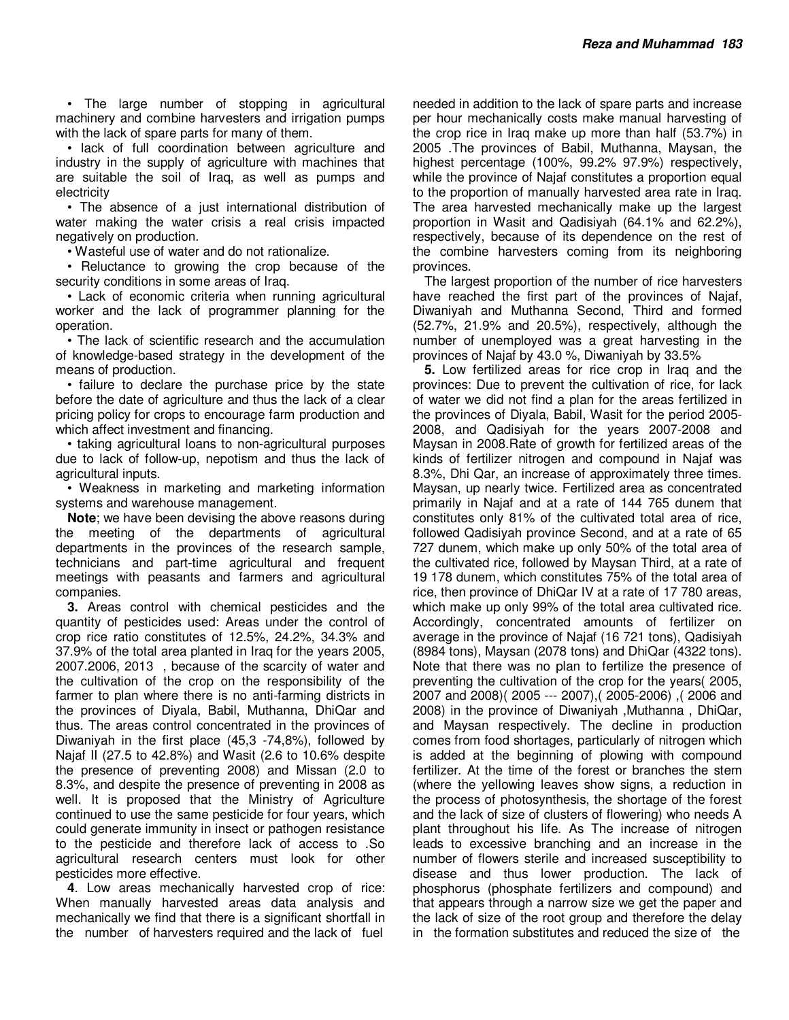• The large number of stopping in agricultural machinery and combine harvesters and irrigation pumps with the lack of spare parts for many of them.

• lack of full coordination between agriculture and industry in the supply of agriculture with machines that are suitable the soil of Iraq, as well as pumps and electricity

• The absence of a just international distribution of water making the water crisis a real crisis impacted negatively on production.

• Wasteful use of water and do not rationalize.

• Reluctance to growing the crop because of the security conditions in some areas of Iraq.

• Lack of economic criteria when running agricultural worker and the lack of programmer planning for the operation.

• The lack of scientific research and the accumulation of knowledge-based strategy in the development of the means of production.

• failure to declare the purchase price by the state before the date of agriculture and thus the lack of a clear pricing policy for crops to encourage farm production and which affect investment and financing.

• taking agricultural loans to non-agricultural purposes due to lack of follow-up, nepotism and thus the lack of agricultural inputs.

• Weakness in marketing and marketing information systems and warehouse management.

**Note**; we have been devising the above reasons during the meeting of the departments of agricultural departments in the provinces of the research sample, technicians and part-time agricultural and frequent meetings with peasants and farmers and agricultural companies.

**3.** Areas control with chemical pesticides and the quantity of pesticides used: Areas under the control of crop rice ratio constitutes of 12.5%, 24.2%, 34.3% and 37.9% of the total area planted in Iraq for the years 2005, 2007.2006, 2013 , because of the scarcity of water and the cultivation of the crop on the responsibility of the farmer to plan where there is no anti-farming districts in the provinces of Diyala, Babil, Muthanna, DhiQar and thus. The areas control concentrated in the provinces of Diwaniyah in the first place (45,3 -74,8%), followed by Najaf II (27.5 to 42.8%) and Wasit (2.6 to 10.6% despite the presence of preventing 2008) and Missan (2.0 to 8.3%, and despite the presence of preventing in 2008 as well. It is proposed that the Ministry of Agriculture continued to use the same pesticide for four years, which could generate immunity in insect or pathogen resistance to the pesticide and therefore lack of access to .So agricultural research centers must look for other pesticides more effective.

**4**. Low areas mechanically harvested crop of rice: When manually harvested areas data analysis and mechanically we find that there is a significant shortfall in the number of harvesters required and the lack of fuel

needed in addition to the lack of spare parts and increase per hour mechanically costs make manual harvesting of the crop rice in Iraq make up more than half (53.7%) in 2005 .The provinces of Babil, Muthanna, Maysan, the highest percentage (100%, 99.2% 97.9%) respectively, while the province of Najaf constitutes a proportion equal to the proportion of manually harvested area rate in Iraq. The area harvested mechanically make up the largest proportion in Wasit and Qadisiyah (64.1% and 62.2%), respectively, because of its dependence on the rest of the combine harvesters coming from its neighboring provinces.

The largest proportion of the number of rice harvesters have reached the first part of the provinces of Najaf, Diwaniyah and Muthanna Second, Third and formed (52.7%, 21.9% and 20.5%), respectively, although the number of unemployed was a great harvesting in the provinces of Najaf by 43.0 %, Diwaniyah by 33.5%

**5.** Low fertilized areas for rice crop in Iraq and the provinces: Due to prevent the cultivation of rice, for lack of water we did not find a plan for the areas fertilized in the provinces of Diyala, Babil, Wasit for the period 2005- 2008, and Qadisiyah for the years 2007-2008 and Maysan in 2008.Rate of growth for fertilized areas of the kinds of fertilizer nitrogen and compound in Najaf was 8.3%, Dhi Qar, an increase of approximately three times. Maysan, up nearly twice. Fertilized area as concentrated primarily in Najaf and at a rate of 144 765 dunem that constitutes only 81% of the cultivated total area of rice, followed Qadisiyah province Second, and at a rate of 65 727 dunem, which make up only 50% of the total area of the cultivated rice, followed by Maysan Third, at a rate of 19 178 dunem, which constitutes 75% of the total area of rice, then province of DhiQar IV at a rate of 17 780 areas, which make up only 99% of the total area cultivated rice. Accordingly, concentrated amounts of fertilizer on average in the province of Najaf (16 721 tons), Qadisiyah (8984 tons), Maysan (2078 tons) and DhiQar (4322 tons). Note that there was no plan to fertilize the presence of preventing the cultivation of the crop for the years( 2005, 2007 and 2008)( 2005 --- 2007),( 2005-2006) ,( 2006 and 2008) in the province of Diwaniyah ,Muthanna , DhiQar, and Maysan respectively. The decline in production comes from food shortages, particularly of nitrogen which is added at the beginning of plowing with compound fertilizer. At the time of the forest or branches the stem (where the yellowing leaves show signs, a reduction in the process of photosynthesis, the shortage of the forest and the lack of size of clusters of flowering) who needs A plant throughout his life. As The increase of nitrogen leads to excessive branching and an increase in the number of flowers sterile and increased susceptibility to disease and thus lower production. The lack of phosphorus (phosphate fertilizers and compound) and that appears through a narrow size we get the paper and the lack of size of the root group and therefore the delay in the formation substitutes and reduced the size of the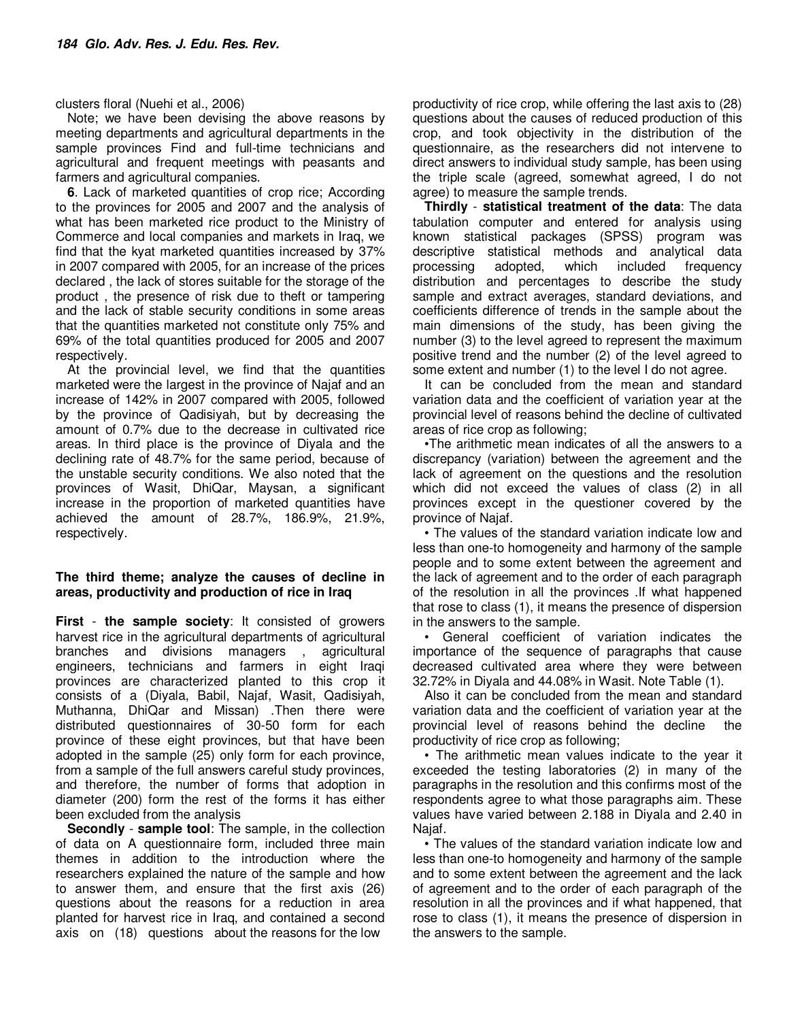clusters floral (Nuehi et al., 2006)

Note; we have been devising the above reasons by meeting departments and agricultural departments in the sample provinces Find and full-time technicians and agricultural and frequent meetings with peasants and farmers and agricultural companies.

**6**. Lack of marketed quantities of crop rice; According to the provinces for 2005 and 2007 and the analysis of what has been marketed rice product to the Ministry of Commerce and local companies and markets in Iraq, we find that the kyat marketed quantities increased by 37% in 2007 compared with 2005, for an increase of the prices declared , the lack of stores suitable for the storage of the product , the presence of risk due to theft or tampering and the lack of stable security conditions in some areas that the quantities marketed not constitute only 75% and 69% of the total quantities produced for 2005 and 2007 respectively.

At the provincial level, we find that the quantities marketed were the largest in the province of Najaf and an increase of 142% in 2007 compared with 2005, followed by the province of Qadisiyah, but by decreasing the amount of 0.7% due to the decrease in cultivated rice areas. In third place is the province of Diyala and the declining rate of 48.7% for the same period, because of the unstable security conditions. We also noted that the provinces of Wasit, DhiQar, Maysan, a significant increase in the proportion of marketed quantities have achieved the amount of 28.7%, 186.9%, 21.9%, respectively.

## **The third theme; analyze the causes of decline in areas, productivity and production of rice in Iraq**

**First** - **the sample society**: It consisted of growers harvest rice in the agricultural departments of agricultural branches and divisions managers , agricultural engineers, technicians and farmers in eight Iraqi provinces are characterized planted to this crop it consists of a (Diyala, Babil, Najaf, Wasit, Qadisiyah, Muthanna, DhiQar and Missan) .Then there were distributed questionnaires of 30-50 form for each province of these eight provinces, but that have been adopted in the sample (25) only form for each province, from a sample of the full answers careful study provinces, and therefore, the number of forms that adoption in diameter (200) form the rest of the forms it has either been excluded from the analysis

**Secondly** - **sample tool**: The sample, in the collection of data on A questionnaire form, included three main themes in addition to the introduction where the researchers explained the nature of the sample and how to answer them, and ensure that the first axis (26) questions about the reasons for a reduction in area planted for harvest rice in Iraq, and contained a second axis on (18) questions about the reasons for the low

productivity of rice crop, while offering the last axis to (28) questions about the causes of reduced production of this crop, and took objectivity in the distribution of the questionnaire, as the researchers did not intervene to direct answers to individual study sample, has been using the triple scale (agreed, somewhat agreed, I do not agree) to measure the sample trends.

**Thirdly** - **statistical treatment of the data**: The data tabulation computer and entered for analysis using known statistical packages (SPSS) program was descriptive statistical methods and analytical data processing adopted, which included frequency distribution and percentages to describe the study sample and extract averages, standard deviations, and coefficients difference of trends in the sample about the main dimensions of the study, has been giving the number (3) to the level agreed to represent the maximum positive trend and the number (2) of the level agreed to some extent and number (1) to the level I do not agree.

It can be concluded from the mean and standard variation data and the coefficient of variation year at the provincial level of reasons behind the decline of cultivated areas of rice crop as following;

•The arithmetic mean indicates of all the answers to a discrepancy (variation) between the agreement and the lack of agreement on the questions and the resolution which did not exceed the values of class (2) in all provinces except in the questioner covered by the province of Najaf.

• The values of the standard variation indicate low and less than one-to homogeneity and harmony of the sample people and to some extent between the agreement and the lack of agreement and to the order of each paragraph of the resolution in all the provinces .If what happened that rose to class (1), it means the presence of dispersion in the answers to the sample.

• General coefficient of variation indicates the importance of the sequence of paragraphs that cause decreased cultivated area where they were between 32.72% in Diyala and 44.08% in Wasit. Note Table (1).

Also it can be concluded from the mean and standard variation data and the coefficient of variation year at the provincial level of reasons behind the decline the productivity of rice crop as following;

• The arithmetic mean values indicate to the year it exceeded the testing laboratories (2) in many of the paragraphs in the resolution and this confirms most of the respondents agree to what those paragraphs aim. These values have varied between 2.188 in Diyala and 2.40 in Najaf.

• The values of the standard variation indicate low and less than one-to homogeneity and harmony of the sample and to some extent between the agreement and the lack of agreement and to the order of each paragraph of the resolution in all the provinces and if what happened, that rose to class (1), it means the presence of dispersion in the answers to the sample.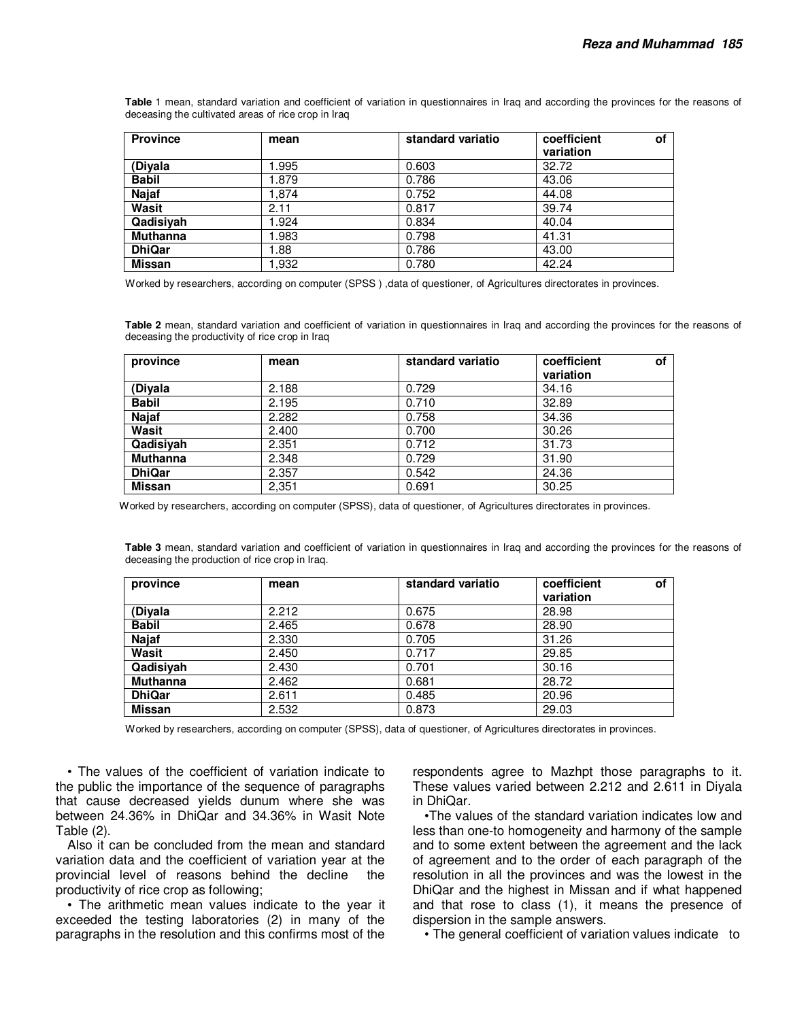**Table** 1 mean, standard variation and coefficient of variation in questionnaires in Iraq and according the provinces for the reasons of deceasing the cultivated areas of rice crop in Iraq

| <b>Province</b> | mean | standard variatio | coefficient<br>variation | <b>of</b> |
|-----------------|------|-------------------|--------------------------|-----------|
| (Diyala         | .995 | 0.603             | 32.72                    |           |
| <b>Babil</b>    | .879 | 0.786             | 43.06                    |           |
| <b>Najaf</b>    | .874 | 0.752             | 44.08                    |           |
| Wasit           | 2.11 | 0.817             | 39.74                    |           |
| Qadisiyah       | .924 | 0.834             | 40.04                    |           |
| <b>Muthanna</b> | .983 | 0.798             | 41.31                    |           |
| <b>DhiQar</b>   | .88  | 0.786             | 43.00                    |           |
| Missan          | .932 | 0.780             | 42.24                    |           |

Worked by researchers, according on computer (SPSS ) ,data of questioner, of Agricultures directorates in provinces.

**Table 2** mean, standard variation and coefficient of variation in questionnaires in Iraq and according the provinces for the reasons of deceasing the productivity of rice crop in Iraq

| province        | mean  | standard variatio | coefficient<br>variation | of |
|-----------------|-------|-------------------|--------------------------|----|
| (Diyala         | 2.188 | 0.729             | 34.16                    |    |
| <b>Babil</b>    | 2.195 | 0.710             | 32.89                    |    |
| <b>Najaf</b>    | 2.282 | 0.758             | 34.36                    |    |
| Wasit           | 2.400 | 0.700             | 30.26                    |    |
| Qadisiyah       | 2.351 | 0.712             | 31.73                    |    |
| <b>Muthanna</b> | 2.348 | 0.729             | 31.90                    |    |
| <b>DhiQar</b>   | 2.357 | 0.542             | 24.36                    |    |
| <b>Missan</b>   | 2,351 | 0.691             | 30.25                    |    |

Worked by researchers, according on computer (SPSS), data of questioner, of Agricultures directorates in provinces.

**Table 3** mean, standard variation and coefficient of variation in questionnaires in Iraq and according the provinces for the reasons of deceasing the production of rice crop in Iraq.

| province        | mean  | standard variatio | coefficient<br>οf<br>variation |
|-----------------|-------|-------------------|--------------------------------|
| (Diyala         | 2.212 | 0.675             | 28.98                          |
| <b>Babil</b>    | 2.465 | 0.678             | 28.90                          |
| <b>Najaf</b>    | 2.330 | 0.705             | 31.26                          |
| Wasit           | 2.450 | 0.717             | 29.85                          |
| Qadisivah       | 2.430 | 0.701             | 30.16                          |
| <b>Muthanna</b> | 2.462 | 0.681             | 28.72                          |
| <b>DhiQar</b>   | 2.611 | 0.485             | 20.96                          |
| <b>Missan</b>   | 2.532 | 0.873             | 29.03                          |

Worked by researchers, according on computer (SPSS), data of questioner, of Agricultures directorates in provinces.

• The values of the coefficient of variation indicate to the public the importance of the sequence of paragraphs that cause decreased yields dunum where she was between 24.36% in DhiQar and 34.36% in Wasit Note Table (2).

Also it can be concluded from the mean and standard variation data and the coefficient of variation year at the provincial level of reasons behind the decline the productivity of rice crop as following;

• The arithmetic mean values indicate to the year it exceeded the testing laboratories (2) in many of the paragraphs in the resolution and this confirms most of the

respondents agree to Mazhpt those paragraphs to it. These values varied between 2.212 and 2.611 in Diyala in DhiQar.

•The values of the standard variation indicates low and less than one-to homogeneity and harmony of the sample and to some extent between the agreement and the lack of agreement and to the order of each paragraph of the resolution in all the provinces and was the lowest in the DhiQar and the highest in Missan and if what happened and that rose to class (1), it means the presence of dispersion in the sample answers.

• The general coefficient of variation values indicate to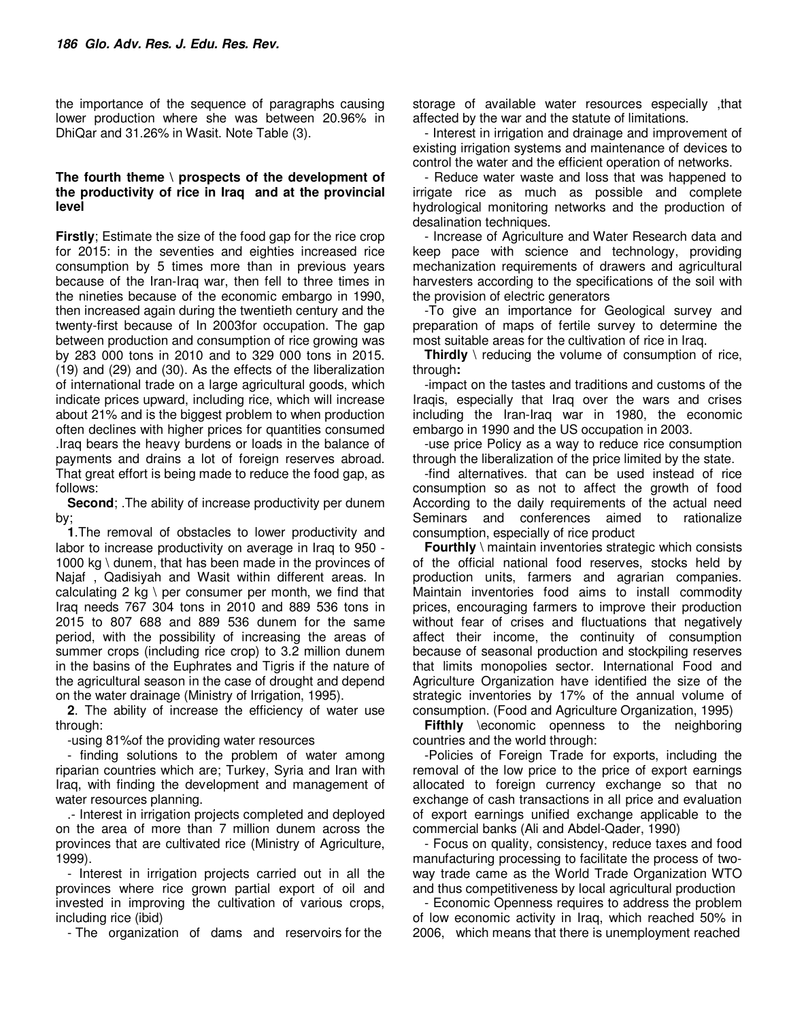the importance of the sequence of paragraphs causing lower production where she was between 20.96% in DhiQar and 31.26% in Wasit. Note Table (3).

## **The fourth theme \ prospects of the development of the productivity of rice in Iraq and at the provincial level**

**Firstly**; Estimate the size of the food gap for the rice crop for 2015: in the seventies and eighties increased rice consumption by 5 times more than in previous years because of the Iran-Iraq war, then fell to three times in the nineties because of the economic embargo in 1990, then increased again during the twentieth century and the twenty-first because of In 2003for occupation. The gap between production and consumption of rice growing was by 283 000 tons in 2010 and to 329 000 tons in 2015. (19) and (29) and (30). As the effects of the liberalization of international trade on a large agricultural goods, which indicate prices upward, including rice, which will increase about 21% and is the biggest problem to when production often declines with higher prices for quantities consumed .Iraq bears the heavy burdens or loads in the balance of payments and drains a lot of foreign reserves abroad. That great effort is being made to reduce the food gap, as follows:

**Second**; .The ability of increase productivity per dunem by;

**1**.The removal of obstacles to lower productivity and labor to increase productivity on average in Iraq to 950 - 1000 kg \ dunem, that has been made in the provinces of Najaf , Qadisiyah and Wasit within different areas. In calculating 2 kg \ per consumer per month, we find that Iraq needs 767 304 tons in 2010 and 889 536 tons in 2015 to 807 688 and 889 536 dunem for the same period, with the possibility of increasing the areas of summer crops (including rice crop) to 3.2 million dunem in the basins of the Euphrates and Tigris if the nature of the agricultural season in the case of drought and depend on the water drainage (Ministry of Irrigation, 1995).

**2**. The ability of increase the efficiency of water use through:

-using 81%of the providing water resources

- finding solutions to the problem of water among riparian countries which are; Turkey, Syria and Iran with Iraq, with finding the development and management of water resources planning.

.- Interest in irrigation projects completed and deployed on the area of more than 7 million dunem across the provinces that are cultivated rice (Ministry of Agriculture, 1999).

- Interest in irrigation projects carried out in all the provinces where rice grown partial export of oil and invested in improving the cultivation of various crops, including rice (ibid)

- The organization of dams and reservoirs for the

storage of available water resources especially ,that affected by the war and the statute of limitations.

- Interest in irrigation and drainage and improvement of existing irrigation systems and maintenance of devices to control the water and the efficient operation of networks.

- Reduce water waste and loss that was happened to irrigate rice as much as possible and complete hydrological monitoring networks and the production of desalination techniques.

- Increase of Agriculture and Water Research data and keep pace with science and technology, providing mechanization requirements of drawers and agricultural harvesters according to the specifications of the soil with the provision of electric generators

-To give an importance for Geological survey and preparation of maps of fertile survey to determine the most suitable areas for the cultivation of rice in Iraq.

**Thirdly** \ reducing the volume of consumption of rice, through**:** 

-impact on the tastes and traditions and customs of the Iraqis, especially that Iraq over the wars and crises including the Iran-Iraq war in 1980, the economic embargo in 1990 and the US occupation in 2003.

-use price Policy as a way to reduce rice consumption through the liberalization of the price limited by the state.

-find alternatives. that can be used instead of rice consumption so as not to affect the growth of food According to the daily requirements of the actual need Seminars and conferences aimed to rationalize consumption, especially of rice product

**Fourthly** \ maintain inventories strategic which consists of the official national food reserves, stocks held by production units, farmers and agrarian companies. Maintain inventories food aims to install commodity prices, encouraging farmers to improve their production without fear of crises and fluctuations that negatively affect their income, the continuity of consumption because of seasonal production and stockpiling reserves that limits monopolies sector. International Food and Agriculture Organization have identified the size of the strategic inventories by 17% of the annual volume of consumption. (Food and Agriculture Organization, 1995)

**Fifthly** \economic openness to the neighboring countries and the world through:

-Policies of Foreign Trade for exports, including the removal of the low price to the price of export earnings allocated to foreign currency exchange so that no exchange of cash transactions in all price and evaluation of export earnings unified exchange applicable to the commercial banks (Ali and Abdel-Qader, 1990)

- Focus on quality, consistency, reduce taxes and food manufacturing processing to facilitate the process of twoway trade came as the World Trade Organization WTO and thus competitiveness by local agricultural production

- Economic Openness requires to address the problem of low economic activity in Iraq, which reached 50% in 2006, which means that there is unemployment reached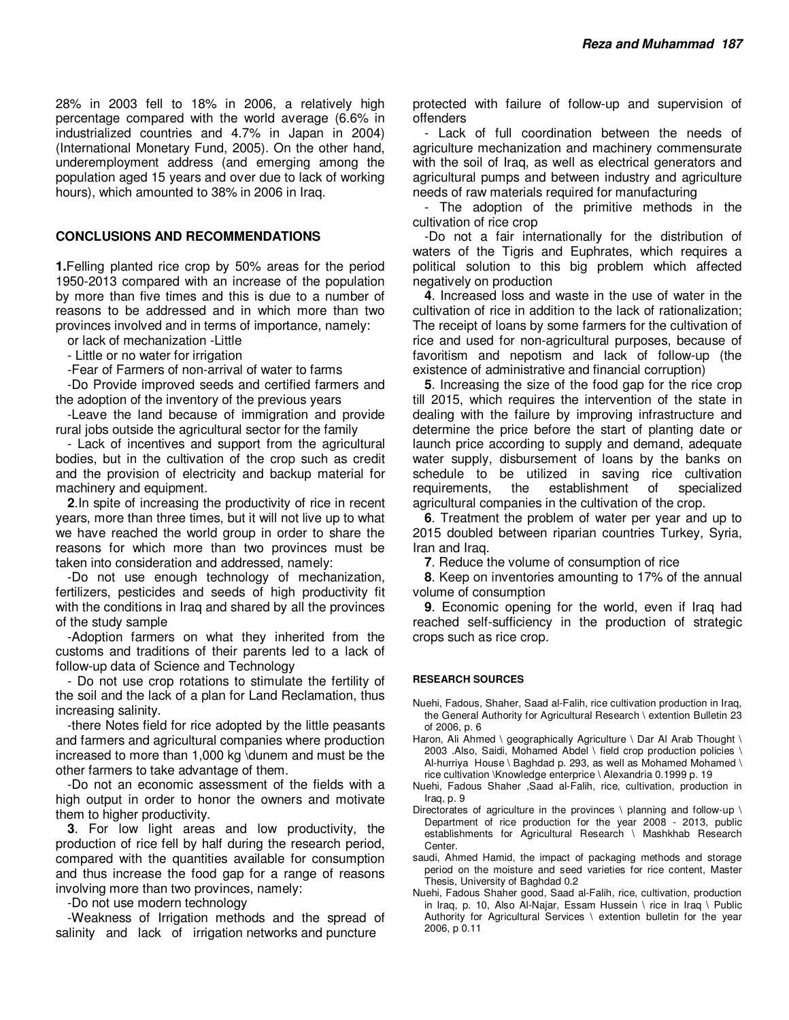28% in 2003 fell to 18% in 2006, a relatively high percentage compared with the world average (6.6% in industrialized countries and 4.7% in Japan in 2004) (International Monetary Fund, 2005). On the other hand, underemployment address (and emerging among the population aged 15 years and over due to lack of working hours), which amounted to 38% in 2006 in Iraq.

#### **CONCLUSIONS AND RECOMMENDATIONS**

**1.**Felling planted rice crop by 50% areas for the period 1950-2013 compared with an increase of the population by more than five times and this is due to a number of reasons to be addressed and in which more than two provinces involved and in terms of importance, namely:

or lack of mechanization -Little

- Little or no water for irrigation

-Fear of Farmers of non-arrival of water to farms

-Do Provide improved seeds and certified farmers and the adoption of the inventory of the previous years

-Leave the land because of immigration and provide rural jobs outside the agricultural sector for the family

- Lack of incentives and support from the agricultural bodies, but in the cultivation of the crop such as credit and the provision of electricity and backup material for machinery and equipment.

**2**.In spite of increasing the productivity of rice in recent years, more than three times, but it will not live up to what we have reached the world group in order to share the reasons for which more than two provinces must be taken into consideration and addressed, namely:

-Do not use enough technology of mechanization, fertilizers, pesticides and seeds of high productivity fit with the conditions in Iraq and shared by all the provinces of the study sample

-Adoption farmers on what they inherited from the customs and traditions of their parents led to a lack of follow-up data of Science and Technology

- Do not use crop rotations to stimulate the fertility of the soil and the lack of a plan for Land Reclamation, thus increasing salinity.

-there Notes field for rice adopted by the little peasants and farmers and agricultural companies where production increased to more than 1,000 kg \dunem and must be the other farmers to take advantage of them.

-Do not an economic assessment of the fields with a high output in order to honor the owners and motivate them to higher productivity.

**3**. For low light areas and low productivity, the production of rice fell by half during the research period, compared with the quantities available for consumption and thus increase the food gap for a range of reasons involving more than two provinces, namely:

-Do not use modern technology

-Weakness of Irrigation methods and the spread of salinity and lack of irrigation networks and puncture

protected with failure of follow-up and supervision of offenders

- Lack of full coordination between the needs of agriculture mechanization and machinery commensurate with the soil of Iraq, as well as electrical generators and agricultural pumps and between industry and agriculture needs of raw materials required for manufacturing

- The adoption of the primitive methods in the cultivation of rice crop

-Do not a fair internationally for the distribution of waters of the Tigris and Euphrates, which requires a political solution to this big problem which affected negatively on production

**4**. Increased loss and waste in the use of water in the cultivation of rice in addition to the lack of rationalization; The receipt of loans by some farmers for the cultivation of rice and used for non-agricultural purposes, because of favoritism and nepotism and lack of follow-up (the existence of administrative and financial corruption)

**5**. Increasing the size of the food gap for the rice crop till 2015, which requires the intervention of the state in dealing with the failure by improving infrastructure and determine the price before the start of planting date or launch price according to supply and demand, adequate water supply, disbursement of loans by the banks on schedule to be utilized in saving rice cultivation requirements, the establishment of specialized agricultural companies in the cultivation of the crop.

**6**. Treatment the problem of water per year and up to 2015 doubled between riparian countries Turkey, Syria, Iran and Iraq.

**7**. Reduce the volume of consumption of rice

**8**. Keep on inventories amounting to 17% of the annual volume of consumption

**9**. Economic opening for the world, even if Iraq had reached self-sufficiency in the production of strategic crops such as rice crop.

#### **RESEARCH SOURCES**

- Nuehi, Fadous, Shaher, Saad al-Falih, rice cultivation production in Iraq, the General Authority for Agricultural Research \ extention Bulletin 23 of 2006, p. 6
- Haron, Ali Ahmed \ geographically Agriculture \ Dar Al Arab Thought \ 2003 .Also, Saidi, Mohamed Abdel \ field crop production policies \ Al-hurriya House \ Baghdad p. 293, as well as Mohamed Mohamed \ rice cultivation \Knowledge enterprice \ Alexandria 0.1999 p. 19
- Nuehi, Fadous Shaher ,Saad al-Falih, rice, cultivation, production in Iraq, p. 9
- Directorates of agriculture in the provinces \ planning and follow-up \ Department of rice production for the year 2008 - 2013, public establishments for Agricultural Research \ Mashkhab Research Center.
- saudi, Ahmed Hamid, the impact of packaging methods and storage period on the moisture and seed varieties for rice content, Master Thesis, University of Baghdad 0.2
- Nuehi, Fadous Shaher good, Saad al-Falih, rice, cultivation, production in Iraq, p. 10, Also Al-Najar, Essam Hussein \ rice in Iraq \ Public Authority for Agricultural Services \ extention bulletin for the year 2006, p 0.11